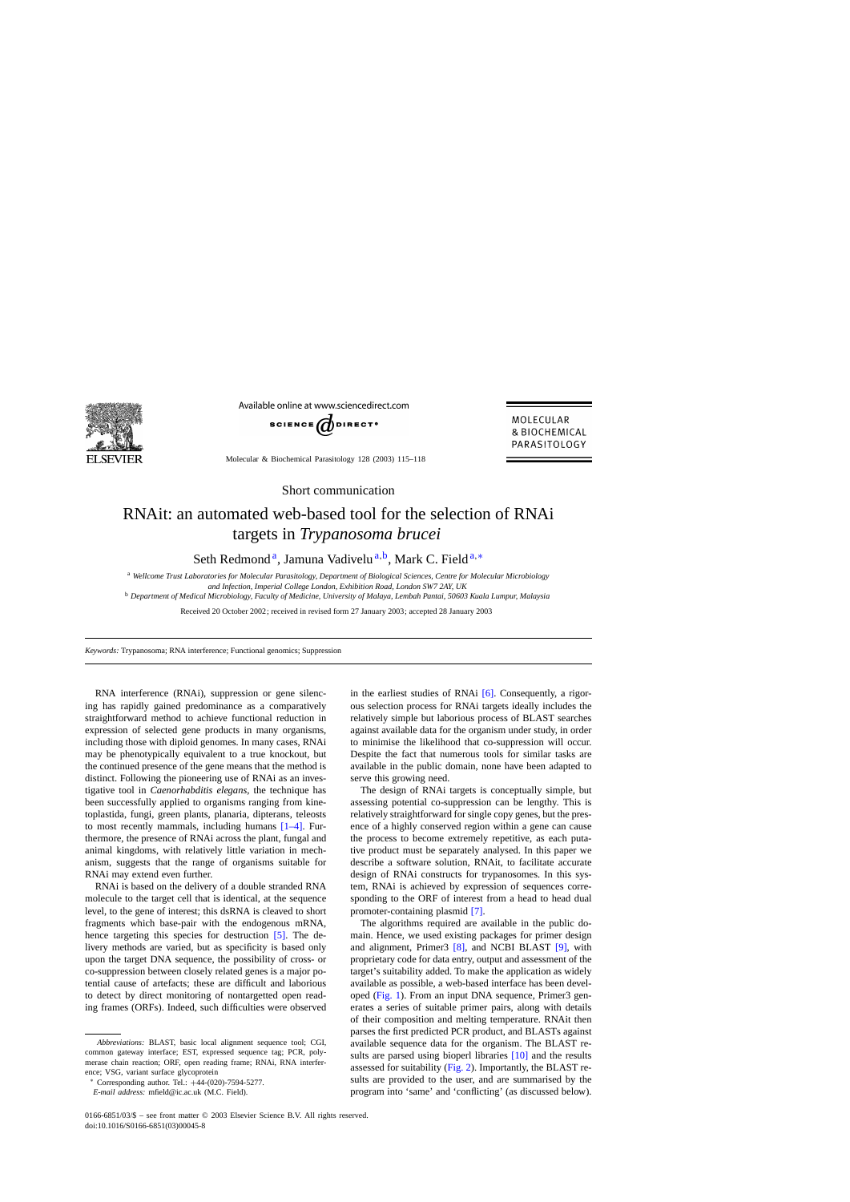

Available online at www.sciencedirect.com



Molecular & Biochemical Parasitology 128 (2003) 115–118

MOLECULAR & BIOCHEMICAL PARASITOLOGY

## Short communication

## RNAit: an automated web-based tool for the selection of RNAi targets in *Trypanosoma brucei*

Seth Redmond<sup>a</sup>, Jamuna Vadivelu<sup>a,b</sup>, Mark C. Field<sup>a,\*</sup>

<sup>a</sup> *Wellcome Trust Laboratories for Molecular Parasitology, Department of Biological Sciences, Centre for Molecular Microbiology and Infection, Imperial College London, Exhibition Road, London SW7 2AY, UK*

<sup>b</sup> *Department of Medical Microbiology, Faculty of Medicine, University of Malaya, Lembah Pantai, 50603 Kuala Lumpur, Malaysia*

Received 20 October 2002; received in revised form 27 January 2003; accepted 28 January 2003

*Keywords:* Trypanosoma; RNA interference; Functional genomics; Suppression

RNA interference (RNAi), suppression or gene silencing has rapidly gained predominance as a comparatively straightforward method to achieve functional reduction in expression of selected gene products in many organisms, including those with diploid genomes. In many cases, RNAi may be phenotypically equivalent to a true knockout, but the continued presence of the gene means that the method is distinct. Following the pioneering use of RNAi as an investigative tool in *Caenorhabditis elegans*, the technique has been successfully applied to organisms ranging from kinetoplastida, fungi, green plants, planaria, dipterans, teleosts to most recently mammals, including humans [\[1–4\].](#page-3-0) Furthermore, the presence of RNAi across the plant, fungal and animal kingdoms, with relatively little variation in mechanism, suggests that the range of organisms suitable for RNAi may extend even further.

RNAi is based on the delivery of a double stranded RNA molecule to the target cell that is identical, at the sequence level, to the gene of interest; this dsRNA is cleaved to short fragments which base-pair with the endogenous mRNA, hence targeting this species for destruction [\[5\].](#page-3-0) The delivery methods are varied, but as specificity is based only upon the target DNA sequence, the possibility of cross- or co-suppression between closely related genes is a major potential cause of artefacts; these are difficult and laborious to detect by direct monitoring of nontargetted open reading frames (ORFs). Indeed, such difficulties were observed

in the earliest studies of RNAi [\[6\].](#page-3-0) Consequently, a rigorous selection process for RNAi targets ideally includes the relatively simple but laborious process of BLAST searches against available data for the organism under study, in order to minimise the likelihood that co-suppression will occur. Despite the fact that numerous tools for similar tasks are available in the public domain, none have been adapted to serve this growing need.

The design of RNAi targets is conceptually simple, but assessing potential co-suppression can be lengthy. This is relatively straightforward for single copy genes, but the presence of a highly conserved region within a gene can cause the process to become extremely repetitive, as each putative product must be separately analysed. In this paper we describe a software solution, RNAit, to facilitate accurate design of RNAi constructs for trypanosomes. In this system, RNAi is achieved by expression of sequences corresponding to the ORF of interest from a head to head dual promoter-containing plasmid [\[7\].](#page-3-0)

The algorithms required are available in the public domain. Hence, we used existing packages for primer design and alignment, Primer3 [\[8\],](#page-3-0) and NCBI BLAST [\[9\],](#page-3-0) with proprietary code for data entry, output and assessment of the target's suitability added. To make the application as widely available as possible, a web-based interface has been developed [\(Fig. 1\).](#page-1-0) From an input DNA sequence, Primer3 generates a series of suitable primer pairs, along with details of their composition and melting temperature. RNAit then parses the first predicted PCR product, and BLASTs against available sequence data for the organism. The BLAST results are parsed using bioperl libraries  $[10]$  and the results assessed for suitability ([Fig. 2\).](#page-2-0) Importantly, the BLAST results are provided to the user, and are summarised by the program into 'same' and 'conflicting' (as discussed below).

*Abbreviations:* BLAST, basic local alignment sequence tool; CGI, common gateway interface; EST, expressed sequence tag; PCR, polymerase chain reaction; ORF, open reading frame; RNAi, RNA interference; VSG, variant surface glycoprotein

<sup>∗</sup> Corresponding author. Tel.: +44-(020)-7594-5277.

*E-mail address:* mfield@ic.ac.uk (M.C. Field).

<sup>0166-6851/03/\$ –</sup> see front matter © 2003 Elsevier Science B.V. All rights reserved. doi:10.1016/S0166-6851(03)00045-8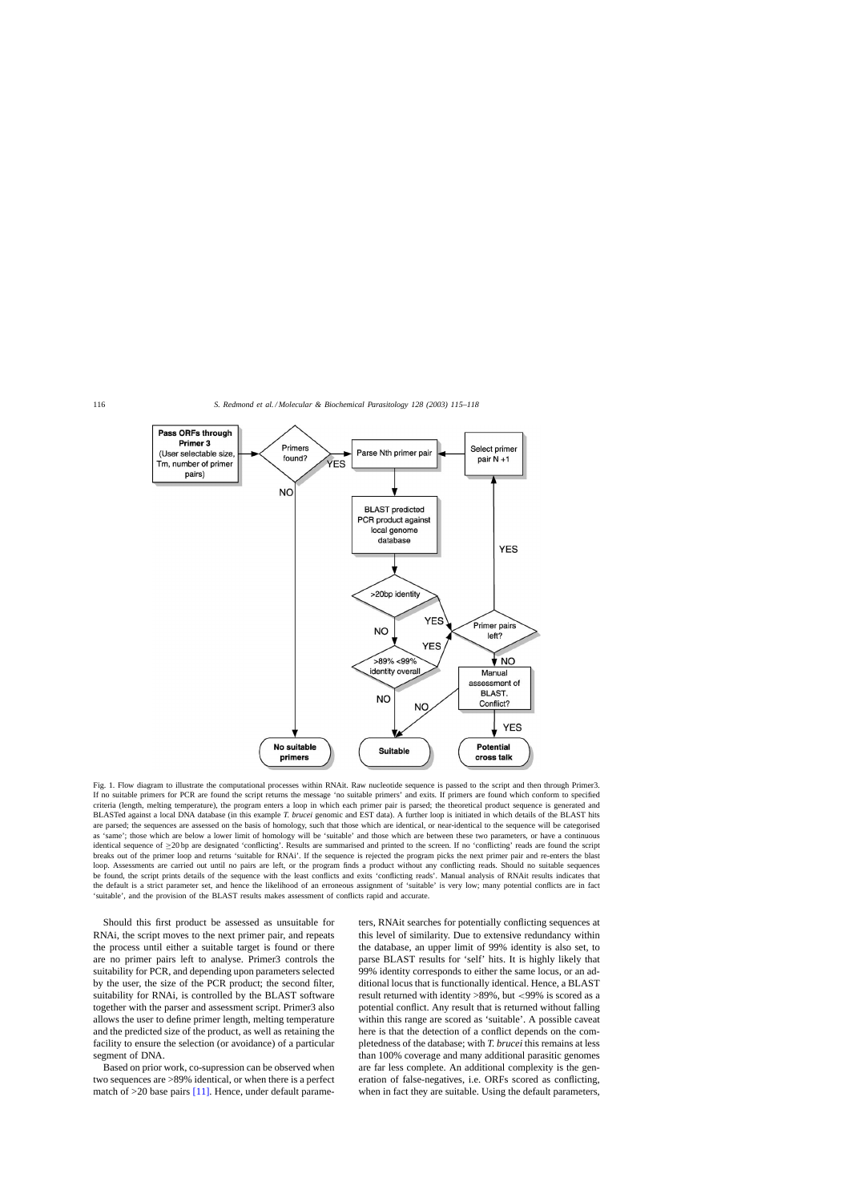<span id="page-1-0"></span>

Fig. 1. Flow diagram to illustrate the computational processes within RNAit. Raw nucleotide sequence is passed to the script and then through Primer3. If no suitable primers for PCR are found the script returns the message 'no suitable primers' and exits. If primers are found which conform to specified criteria (length, melting temperature), the program enters a loop in which each primer pair is parsed; the theoretical product sequence is generated and BLASTed against a local DNA database (in this example *T. brucei* genomic and EST data). A further loop is initiated in which details of the BLAST hits are parsed; the sequences are assessed on the basis of homology, such that those which are identical, or near-identical to the sequence will be categorised as 'same'; those which are below a lower limit of homology will be 'suitable' and those which are between these two parameters, or have a continuous identical sequence of ≥20 bp are designated 'conflicting'. Results are summarised and printed to the screen. If no 'conflicting' reads are found the script breaks out of the primer loop and returns 'suitable for RNAi'. If the sequence is rejected the program picks the next primer pair and re-enters the blast loop. Assessments are carried out until no pairs are left, or the program finds a product without any conflicting reads. Should no suitable sequences be found, the script prints details of the sequence with the least conflicts and exits 'conflicting reads'. Manual analysis of RNAit results indicates that the default is a strict parameter set, and hence the likelihood of an erroneous assignment of 'suitable' is very low; many potential conflicts are in fact 'suitable', and the provision of the BLAST results makes assessment of conflicts rapid and accurate.

Should this first product be assessed as unsuitable for RNAi, the script moves to the next primer pair, and repeats the process until either a suitable target is found or there are no primer pairs left to analyse. Primer3 controls the suitability for PCR, and depending upon parameters selected by the user, the size of the PCR product; the second filter, suitability for RNAi, is controlled by the BLAST software together with the parser and assessment script. Primer3 also allows the user to define primer length, melting temperature and the predicted size of the product, as well as retaining the facility to ensure the selection (or avoidance) of a particular segment of DNA.

Based on prior work, co-supression can be observed when two sequences are >89% identical, or when there is a perfect match of >20 base pairs [\[11\]. H](#page-3-0)ence, under default parameters, RNAit searches for potentially conflicting sequences at this level of similarity. Due to extensive redundancy within the database, an upper limit of 99% identity is also set, to parse BLAST results for 'self' hits. It is highly likely that 99% identity corresponds to either the same locus, or an additional locus that is functionally identical. Hence, a BLAST result returned with identity >89%, but <99% is scored as a potential conflict. Any result that is returned without falling within this range are scored as 'suitable'. A possible caveat here is that the detection of a conflict depends on the completedness of the database; with *T. brucei* this remains at less than 100% coverage and many additional parasitic genomes are far less complete. An additional complexity is the generation of false-negatives, i.e. ORFs scored as conflicting, when in fact they are suitable. Using the default parameters,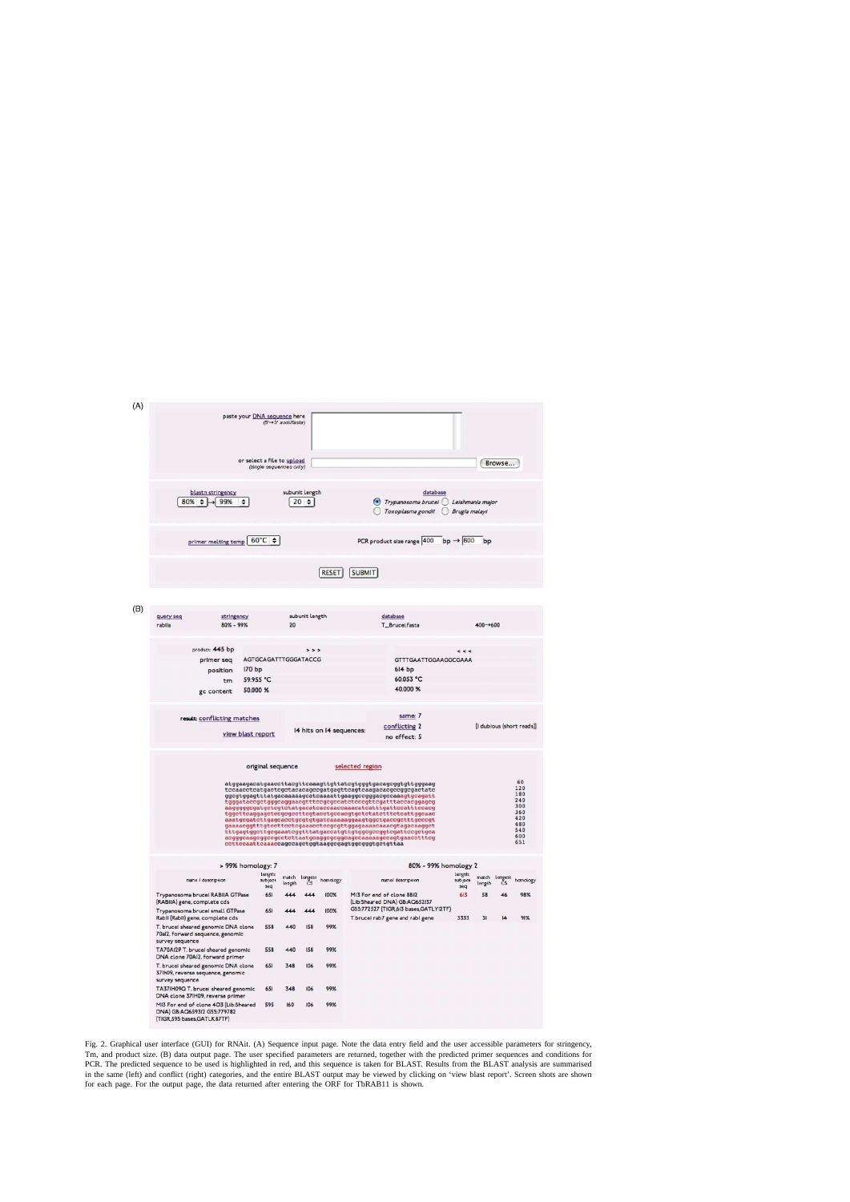<span id="page-2-0"></span>

| (B) | query seq                                        | stringency |                          | subunit length                                                                                                                                                                                                                                                                                                                                                                                                                                                                  | database                      |                                                            |  |  |
|-----|--------------------------------------------------|------------|--------------------------|---------------------------------------------------------------------------------------------------------------------------------------------------------------------------------------------------------------------------------------------------------------------------------------------------------------------------------------------------------------------------------------------------------------------------------------------------------------------------------|-------------------------------|------------------------------------------------------------|--|--|
|     | rabila<br>$80\% - 99\%$                          |            |                          | 20                                                                                                                                                                                                                                                                                                                                                                                                                                                                              | T_Brucei.fasta                | $400 \rightarrow 600$                                      |  |  |
|     | product: 445 bp                                  |            |                          | $>$ > ><br><                                                                                                                                                                                                                                                                                                                                                                                                                                                                    |                               |                                                            |  |  |
|     | primer seq                                       |            |                          | AGTGCAGATTTGGGATACCG                                                                                                                                                                                                                                                                                                                                                                                                                                                            | <b>GTTTGAATTGGAAGGCGAAA</b>   |                                                            |  |  |
|     |                                                  | position   | 170 <sub>bp</sub>        |                                                                                                                                                                                                                                                                                                                                                                                                                                                                                 | 614bp                         |                                                            |  |  |
|     |                                                  | tm         | 59.955 °C                |                                                                                                                                                                                                                                                                                                                                                                                                                                                                                 | 60.053 °C                     |                                                            |  |  |
|     |                                                  | gc content | 50.000 %                 |                                                                                                                                                                                                                                                                                                                                                                                                                                                                                 | 40,000 %                      |                                                            |  |  |
|     | result: conflicting matches<br>view blast report |            |                          |                                                                                                                                                                                                                                                                                                                                                                                                                                                                                 | same: 7                       |                                                            |  |  |
|     |                                                  |            |                          | 14 hits on 14 sequences:                                                                                                                                                                                                                                                                                                                                                                                                                                                        | conflicting 2<br>no effect: 5 | [I dubious (short reads)]                                  |  |  |
|     |                                                  |            | original sequence        | selected region<br>atggaagacatgaaccttacgttcaaagttgttatcgtgggtgacagcggtgttgggaag<br>tccaacctcatqactcqctacacaqccqatqaqttcaqtcaaqacacqccqqcqactatc<br>ggcgtggagtttatgacaaaaagcatcaaaattgaaggccgggacgccaaagtgcagatt<br>tgggataccgctgggcaggaacgtttccgcgccatctcccgttcgatttaccacggagcg<br>aagggggggatgctcgtctatgacatcaccaaccaaccatcatttgattccatttccacg<br>tggcttcaggagctccgcgccttcgtacctgccacgtgctctatctttctcattggcaac<br>aaatgcgatcttgagcacctgcgtgtgatcaaaaaggaagtggctgaccgctttgcccgt |                               | 60<br>120<br>180<br>240<br>300<br>360<br>420<br>480<br>540 |  |  |
|     |                                                  |            | > 99% homology: 7        | tttgagtggcttgcgaaatcggtttatgaccatgttgtggcgccggtcgattccgctgca<br>acqqqcaaqcqqccqcctcttaatqcaqqcqcqqcaqccaaaaaqccaqtqaacctttcq<br>ccttccaattcaaaccaqccaqctqqtaaqqcqaqtqqcqqqtqctqttaa                                                                                                                                                                                                                                                                                             | 80% - 99% homology 2          | 600<br>651                                                 |  |  |
|     |                                                  |            | <b><i>Licensides</i></b> |                                                                                                                                                                                                                                                                                                                                                                                                                                                                                 | <b>Longailly</b>              |                                                            |  |  |

| $> 77%$ normology: $\sqrt{s}$                                                                      |                           |                 |                |          | <b>OU70 - 7770 NOMOLOGY 4</b>                              |                           |                 |                           |          |
|----------------------------------------------------------------------------------------------------|---------------------------|-----------------|----------------|----------|------------------------------------------------------------|---------------------------|-----------------|---------------------------|----------|
| name / description                                                                                 | length:<br>subject<br>seq | match<br>length | longest<br>CS. | homology | name/ description                                          | length:<br>subject<br>seq | match<br>length | longest<br>C <sub>3</sub> | homology |
| Trypanosoma brucel RABIIA GTPase<br>(RABIIA) gene, complete cds                                    | 651                       | 444             | 444            | 100%     | MI3 For end of clone 8BI2<br>(Lib:Sheared DNA) GB:AQ652137 | 613                       | 58              | 46                        | 98%      |
| Trypanosoma brucei small GTPase                                                                    | 651<br>444                |                 | 444            | 100%     | GSS:772527 (TIGR,613 bases,GATLY12TF)                      |                           |                 |                           |          |
| Rabii (Rabii) gene, complete cds                                                                   |                           |                 |                |          | T.brucel rab7 gene and rabl gene                           | 3333                      | 31              | 4                         | 91%      |
| T. brucel sheared genomic DNA clone<br>70al2, forward sequence, genomic<br>survey sequence         | 558                       | 440             | 158            | 99%      |                                                            |                           |                 |                           |          |
| TA70AI2P T. brucei sheared genomic<br>DNA clone 70AI2, forward primer                              | 558                       | 440             | 158            | 99%      |                                                            |                           |                 |                           |          |
| T. brucel sheared genomic DNA clone<br>37lh09, reverse sequence, genomic<br>survey sequence        | 651                       | 348             | 106            | 99%      |                                                            |                           |                 |                           |          |
| TA37IH09Q T. brucel sheared genomic<br>DNA clone 37IH09, reverse primer                            | 651                       | 348             | 106            | 99%      |                                                            |                           |                 |                           |          |
| MI3 For end of clone 4O3 (Lib:Sheared<br>DNA) GB:AQ659312 GSS:779782<br>(TIGR,595 bases,GATLK87TF) | 595                       | 160             | 106            | 99%      |                                                            |                           |                 |                           |          |

Fig. 2. Graphical user interface (GUI) for RNAit. (A) Sequence input page. Note the data entry field and the user accessible parameters for stringency, Tm, and product size. (B) data output page. The user specified parameters are returned, together with the predicted primer sequences and conditions for PCR. The predicted sequence to be used is highlighted in red, and this sequence is taken for BLAST. Results from the BLAST analysis are summarised in the same (left) and conflict (right) categories, and the entire BLAST output may be viewed by clicking on 'view blast report'. Screen shots are shown for each page. For the output page, the data returned after entering the ORF for TbRAB11 is shown.